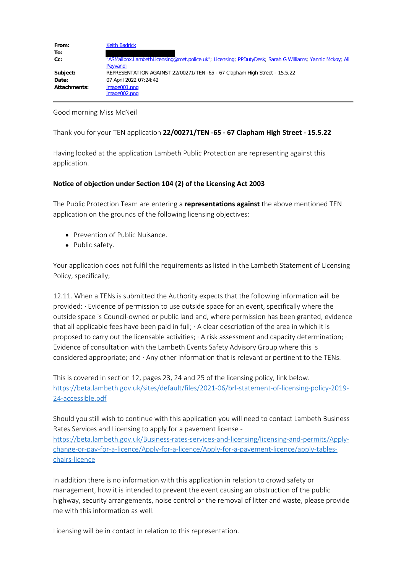| From:               | <b>Keith Badrick</b>                                                                                   |
|---------------------|--------------------------------------------------------------------------------------------------------|
| To:                 | "ASMailbox.LambethLicensing@met.police.uk"; Licensing; PPDutyDesk; Sarah G Williams; Yannic Mckoy; Ali |
| Cc:                 | Peyvandi                                                                                               |
| Subject:            | REPRESENTATION AGAINST 22/00271/TEN -65 - 67 Clapham High Street - 15.5.22                             |
| Date:               | 07 April 2022 07:24:42                                                                                 |
| <b>Attachments:</b> | image001.png<br>image002.png                                                                           |

Good morning Miss McNeil

Thank you for your TEN application **22/00271/TEN -65 - 67 Clapham High Street - 15.5.22**

Having looked at the application Lambeth Public Protection are representing against this application.

## **Notice of objection under Section 104 (2) of the Licensing Act 2003**

The Public Protection Team are entering a **representations against** the above mentioned TEN application on the grounds of the following licensing objectives:

- Prevention of Public Nuisance.
- Public safety.

Your application does not fulfil the requirements as listed in the Lambeth Statement of Licensing Policy, specifically;

12.11. When a TENs is submitted the Authority expects that the following information will be provided: · Evidence of permission to use outside space for an event, specifically where the outside space is Council-owned or public land and, where permission has been granted, evidence that all applicable fees have been paid in full; · A clear description of the area in which it is proposed to carry out the licensable activities;  $\cdot$  A risk assessment and capacity determination;  $\cdot$ Evidence of consultation with the Lambeth Events Safety Advisory Group where this is considered appropriate; and · Any other information that is relevant or pertinent to the TENs.

This is covered in section 12, pages 23, 24 and 25 of the licensing policy, link below. https://beta.lambeth.gov.uk/sites/default/files/2021-06/brl-statement-of-licensing-policy-2019- 24-accessible.pdf

Should you still wish to continue with this application you will need to contact Lambeth Business Rates Services and Licensing to apply for a pavement license https://beta.lambeth.gov.uk/Business-rates-services-and-licensing/licensing-and-permits/Applychange-or-pay-for-a-licence/Apply-for-a-licence/Apply-for-a-pavement-licence/apply-tableschairs-licence

In addition there is no information with this application in relation to crowd safety or management, how it is intended to prevent the event causing an obstruction of the public highway, security arrangements, noise control or the removal of litter and waste, please provide me with this information as well.

Licensing will be in contact in relation to this representation.